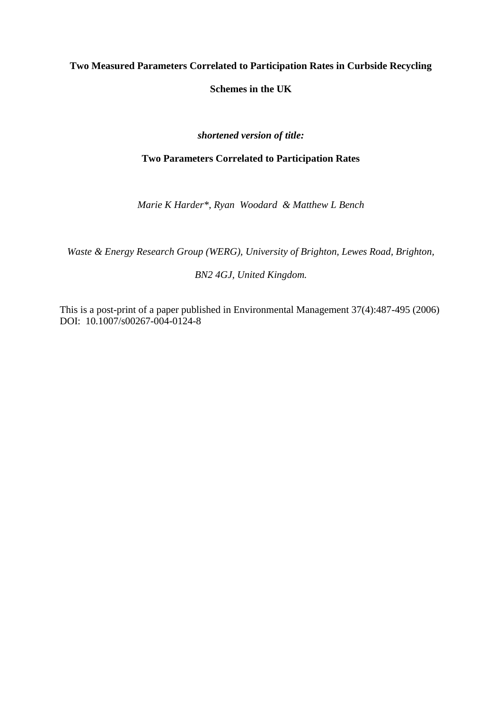# **Two Measured Parameters Correlated to Participation Rates in Curbside Recycling**

**Schemes in the UK**

# *shortened version of title:*

# **Two Parameters Correlated to Participation Rates**

*Marie K Harder\*, Ryan Woodard & Matthew L Bench*

*Waste & Energy Research Group (WERG), University of Brighton, Lewes Road, Brighton,* 

## *BN2 4GJ, United Kingdom.*

This is a post-print of a paper published in Environmental Management 37(4):487-495 (2006) DOI: 10.1007/s00267-004-0124-8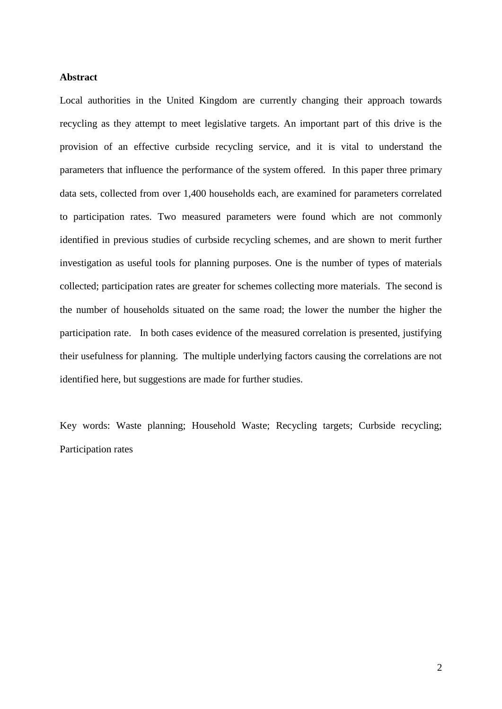#### **Abstract**

Local authorities in the United Kingdom are currently changing their approach towards recycling as they attempt to meet legislative targets. An important part of this drive is the provision of an effective curbside recycling service, and it is vital to understand the parameters that influence the performance of the system offered. In this paper three primary data sets, collected from over 1,400 households each, are examined for parameters correlated to participation rates. Two measured parameters were found which are not commonly identified in previous studies of curbside recycling schemes, and are shown to merit further investigation as useful tools for planning purposes. One is the number of types of materials collected; participation rates are greater for schemes collecting more materials. The second is the number of households situated on the same road; the lower the number the higher the participation rate. In both cases evidence of the measured correlation is presented, justifying their usefulness for planning. The multiple underlying factors causing the correlations are not identified here, but suggestions are made for further studies.

Key words: Waste planning; Household Waste; Recycling targets; Curbside recycling; Participation rates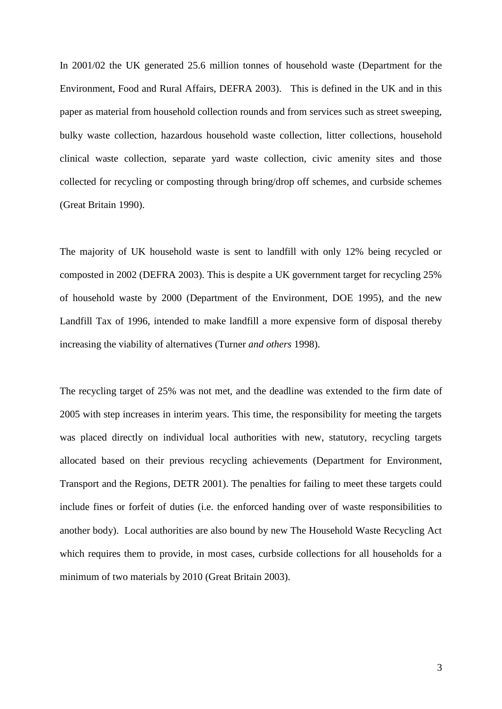In 2001/02 the UK generated 25.6 million tonnes of household waste (Department for the Environment, Food and Rural Affairs, DEFRA 2003). This is defined in the UK and in this paper as material from household collection rounds and from services such as street sweeping, bulky waste collection, hazardous household waste collection, litter collections, household clinical waste collection, separate yard waste collection, civic amenity sites and those collected for recycling or composting through bring/drop off schemes, and curbside schemes (Great Britain 1990).

The majority of UK household waste is sent to landfill with only 12% being recycled or composted in 2002 (DEFRA 2003). This is despite a UK government target for recycling 25% of household waste by 2000 (Department of the Environment, DOE 1995), and the new Landfill Tax of 1996, intended to make landfill a more expensive form of disposal thereby increasing the viability of alternatives (Turner *and others* 1998).

The recycling target of 25% was not met, and the deadline was extended to the firm date of 2005 with step increases in interim years. This time, the responsibility for meeting the targets was placed directly on individual local authorities with new, statutory, recycling targets allocated based on their previous recycling achievements (Department for Environment, Transport and the Regions, DETR 2001). The penalties for failing to meet these targets could include fines or forfeit of duties (i.e. the enforced handing over of waste responsibilities to another body). Local authorities are also bound by new The Household Waste Recycling Act which requires them to provide, in most cases, curbside collections for all households for a minimum of two materials by 2010 (Great Britain 2003).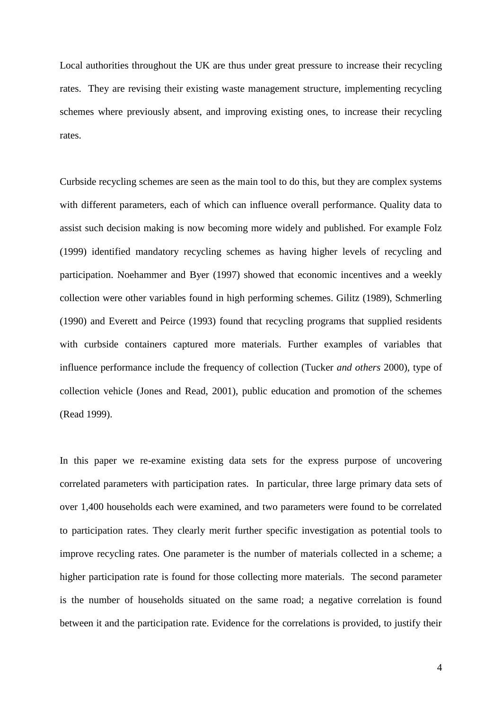Local authorities throughout the UK are thus under great pressure to increase their recycling rates. They are revising their existing waste management structure, implementing recycling schemes where previously absent, and improving existing ones, to increase their recycling rates.

Curbside recycling schemes are seen as the main tool to do this, but they are complex systems with different parameters, each of which can influence overall performance. Quality data to assist such decision making is now becoming more widely and published. For example Folz (1999) identified mandatory recycling schemes as having higher levels of recycling and participation. Noehammer and Byer (1997) showed that economic incentives and a weekly collection were other variables found in high performing schemes. Gilitz (1989), Schmerling (1990) and Everett and Peirce (1993) found that recycling programs that supplied residents with curbside containers captured more materials. Further examples of variables that influence performance include the frequency of collection (Tucker *and others* 2000), type of collection vehicle (Jones and Read, 2001), public education and promotion of the schemes (Read 1999).

In this paper we re-examine existing data sets for the express purpose of uncovering correlated parameters with participation rates. In particular, three large primary data sets of over 1,400 households each were examined, and two parameters were found to be correlated to participation rates. They clearly merit further specific investigation as potential tools to improve recycling rates. One parameter is the number of materials collected in a scheme; a higher participation rate is found for those collecting more materials. The second parameter is the number of households situated on the same road; a negative correlation is found between it and the participation rate. Evidence for the correlations is provided, to justify their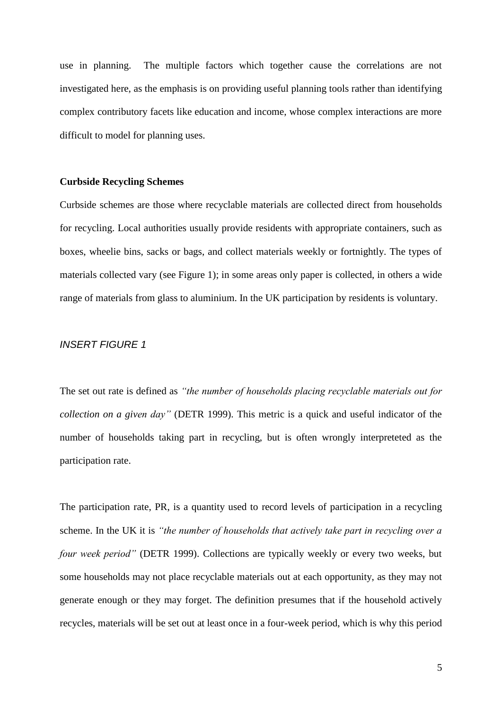use in planning. The multiple factors which together cause the correlations are not investigated here, as the emphasis is on providing useful planning tools rather than identifying complex contributory facets like education and income, whose complex interactions are more difficult to model for planning uses.

#### **Curbside Recycling Schemes**

Curbside schemes are those where recyclable materials are collected direct from households for recycling. Local authorities usually provide residents with appropriate containers, such as boxes, wheelie bins, sacks or bags, and collect materials weekly or fortnightly. The types of materials collected vary (see Figure 1); in some areas only paper is collected, in others a wide range of materials from glass to aluminium. In the UK participation by residents is voluntary.

## *INSERT FIGURE 1*

The set out rate is defined as *"the number of households placing recyclable materials out for collection on a given day"* (DETR 1999). This metric is a quick and useful indicator of the number of households taking part in recycling, but is often wrongly interpreteted as the participation rate.

The participation rate, PR, is a quantity used to record levels of participation in a recycling scheme. In the UK it is *"the number of households that actively take part in recycling over a four week period"* (DETR 1999). Collections are typically weekly or every two weeks, but some households may not place recyclable materials out at each opportunity, as they may not generate enough or they may forget. The definition presumes that if the household actively recycles, materials will be set out at least once in a four-week period, which is why this period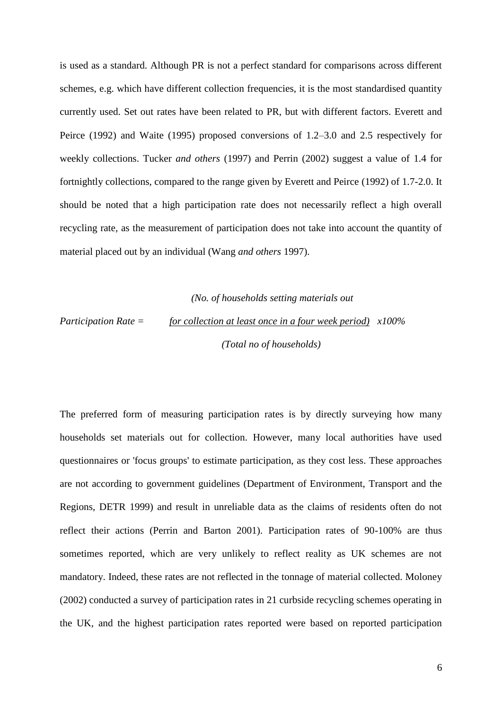is used as a standard. Although PR is not a perfect standard for comparisons across different schemes, e.g. which have different collection frequencies, it is the most standardised quantity currently used. Set out rates have been related to PR, but with different factors. Everett and Peirce (1992) and Waite (1995) proposed conversions of 1.2–3.0 and 2.5 respectively for weekly collections. Tucker *and others* (1997) and Perrin (2002) suggest a value of 1.4 for fortnightly collections, compared to the range given by Everett and Peirce (1992) of 1.7-2.0. It should be noted that a high participation rate does not necessarily reflect a high overall recycling rate, as the measurement of participation does not take into account the quantity of material placed out by an individual (Wang *and others* 1997).

 *(No. of households setting materials out*

*Participation Rate = for collection at least once in a four week period) x100% (Total no of households)*

The preferred form of measuring participation rates is by directly surveying how many households set materials out for collection. However, many local authorities have used questionnaires or 'focus groups' to estimate participation, as they cost less. These approaches are not according to government guidelines (Department of Environment, Transport and the Regions, DETR 1999) and result in unreliable data as the claims of residents often do not reflect their actions (Perrin and Barton 2001). Participation rates of 90-100% are thus sometimes reported, which are very unlikely to reflect reality as UK schemes are not mandatory. Indeed, these rates are not reflected in the tonnage of material collected. Moloney (2002) conducted a survey of participation rates in 21 curbside recycling schemes operating in the UK, and the highest participation rates reported were based on reported participation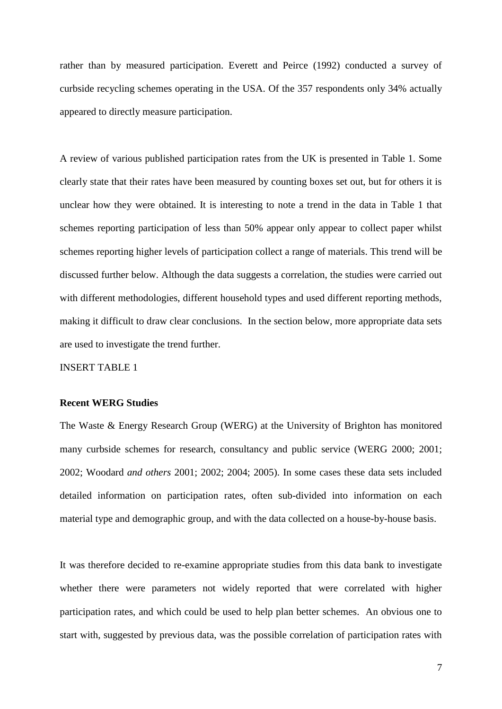rather than by measured participation. Everett and Peirce (1992) conducted a survey of curbside recycling schemes operating in the USA. Of the 357 respondents only 34% actually appeared to directly measure participation.

A review of various published participation rates from the UK is presented in Table 1. Some clearly state that their rates have been measured by counting boxes set out, but for others it is unclear how they were obtained. It is interesting to note a trend in the data in Table 1 that schemes reporting participation of less than 50% appear only appear to collect paper whilst schemes reporting higher levels of participation collect a range of materials. This trend will be discussed further below. Although the data suggests a correlation, the studies were carried out with different methodologies, different household types and used different reporting methods, making it difficult to draw clear conclusions. In the section below, more appropriate data sets are used to investigate the trend further.

INSERT TABLE 1

## **Recent WERG Studies**

The Waste & Energy Research Group (WERG) at the University of Brighton has monitored many curbside schemes for research, consultancy and public service (WERG 2000; 2001; 2002; Woodard *and others* 2001; 2002; 2004; 2005). In some cases these data sets included detailed information on participation rates, often sub-divided into information on each material type and demographic group, and with the data collected on a house-by-house basis.

It was therefore decided to re-examine appropriate studies from this data bank to investigate whether there were parameters not widely reported that were correlated with higher participation rates, and which could be used to help plan better schemes. An obvious one to start with, suggested by previous data, was the possible correlation of participation rates with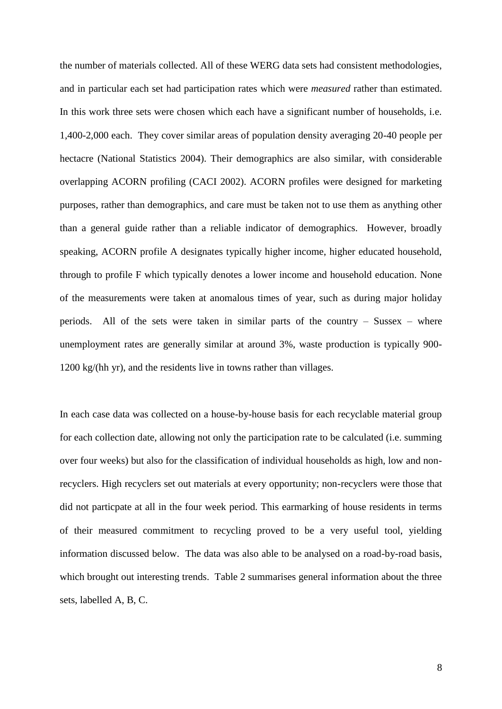the number of materials collected. All of these WERG data sets had consistent methodologies, and in particular each set had participation rates which were *measured* rather than estimated. In this work three sets were chosen which each have a significant number of households, i.e. 1,400-2,000 each. They cover similar areas of population density averaging 20-40 people per hectacre (National Statistics 2004). Their demographics are also similar, with considerable overlapping ACORN profiling (CACI 2002). ACORN profiles were designed for marketing purposes, rather than demographics, and care must be taken not to use them as anything other than a general guide rather than a reliable indicator of demographics. However, broadly speaking, ACORN profile A designates typically higher income, higher educated household, through to profile F which typically denotes a lower income and household education. None of the measurements were taken at anomalous times of year, such as during major holiday periods. All of the sets were taken in similar parts of the country – Sussex – where unemployment rates are generally similar at around 3%, waste production is typically 900- 1200 kg/(hh yr), and the residents live in towns rather than villages.

In each case data was collected on a house-by-house basis for each recyclable material group for each collection date, allowing not only the participation rate to be calculated (i.e. summing over four weeks) but also for the classification of individual households as high, low and nonrecyclers. High recyclers set out materials at every opportunity; non-recyclers were those that did not particpate at all in the four week period. This earmarking of house residents in terms of their measured commitment to recycling proved to be a very useful tool, yielding information discussed below. The data was also able to be analysed on a road-by-road basis, which brought out interesting trends. Table 2 summarises general information about the three sets, labelled A, B, C.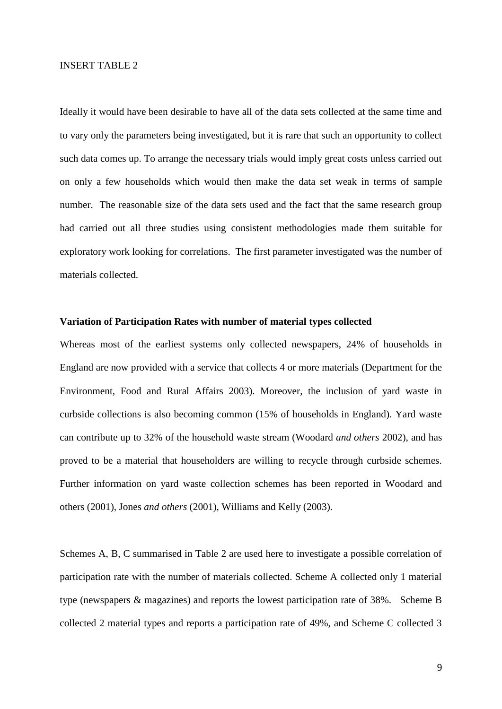#### INSERT TABLE 2

Ideally it would have been desirable to have all of the data sets collected at the same time and to vary only the parameters being investigated, but it is rare that such an opportunity to collect such data comes up. To arrange the necessary trials would imply great costs unless carried out on only a few households which would then make the data set weak in terms of sample number. The reasonable size of the data sets used and the fact that the same research group had carried out all three studies using consistent methodologies made them suitable for exploratory work looking for correlations. The first parameter investigated was the number of materials collected.

#### **Variation of Participation Rates with number of material types collected**

Whereas most of the earliest systems only collected newspapers, 24% of households in England are now provided with a service that collects 4 or more materials (Department for the Environment, Food and Rural Affairs 2003). Moreover, the inclusion of yard waste in curbside collections is also becoming common (15% of households in England). Yard waste can contribute up to 32% of the household waste stream (Woodard *and others* 2002), and has proved to be a material that householders are willing to recycle through curbside schemes. Further information on yard waste collection schemes has been reported in Woodard and others (2001), Jones *and others* (2001), Williams and Kelly (2003).

Schemes A, B, C summarised in Table 2 are used here to investigate a possible correlation of participation rate with the number of materials collected. Scheme A collected only 1 material type (newspapers & magazines) and reports the lowest participation rate of 38%. Scheme B collected 2 material types and reports a participation rate of 49%, and Scheme C collected 3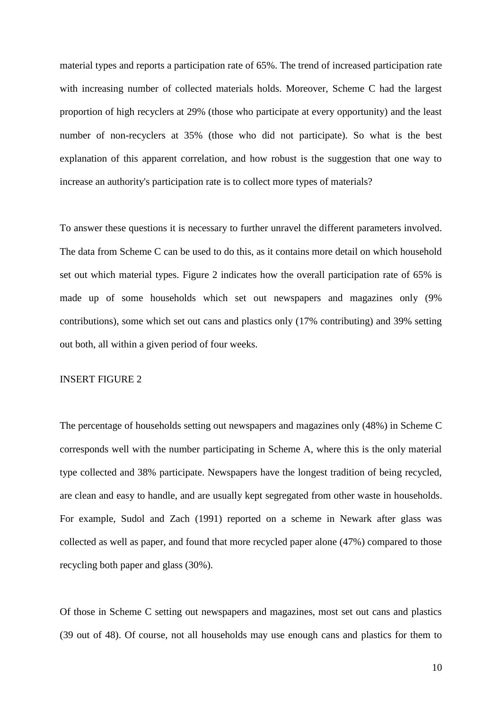material types and reports a participation rate of 65%. The trend of increased participation rate with increasing number of collected materials holds. Moreover, Scheme C had the largest proportion of high recyclers at 29% (those who participate at every opportunity) and the least number of non-recyclers at 35% (those who did not participate). So what is the best explanation of this apparent correlation, and how robust is the suggestion that one way to increase an authority's participation rate is to collect more types of materials?

To answer these questions it is necessary to further unravel the different parameters involved. The data from Scheme C can be used to do this, as it contains more detail on which household set out which material types. Figure 2 indicates how the overall participation rate of 65% is made up of some households which set out newspapers and magazines only (9% contributions), some which set out cans and plastics only (17% contributing) and 39% setting out both, all within a given period of four weeks.

#### INSERT FIGURE 2

The percentage of households setting out newspapers and magazines only (48%) in Scheme C corresponds well with the number participating in Scheme A, where this is the only material type collected and 38% participate. Newspapers have the longest tradition of being recycled, are clean and easy to handle, and are usually kept segregated from other waste in households. For example, Sudol and Zach (1991) reported on a scheme in Newark after glass was collected as well as paper, and found that more recycled paper alone (47%) compared to those recycling both paper and glass (30%).

Of those in Scheme C setting out newspapers and magazines, most set out cans and plastics (39 out of 48). Of course, not all households may use enough cans and plastics for them to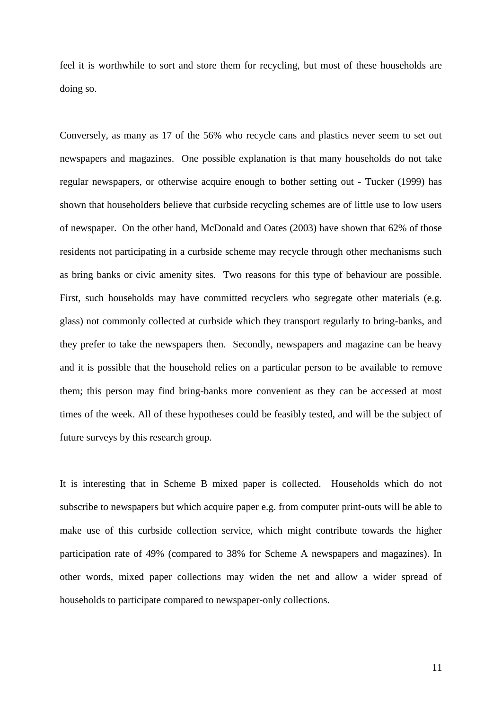feel it is worthwhile to sort and store them for recycling, but most of these households are doing so.

Conversely, as many as 17 of the 56% who recycle cans and plastics never seem to set out newspapers and magazines. One possible explanation is that many households do not take regular newspapers, or otherwise acquire enough to bother setting out - Tucker (1999) has shown that householders believe that curbside recycling schemes are of little use to low users of newspaper. On the other hand, McDonald and Oates (2003) have shown that 62% of those residents not participating in a curbside scheme may recycle through other mechanisms such as bring banks or civic amenity sites. Two reasons for this type of behaviour are possible. First, such households may have committed recyclers who segregate other materials (e.g. glass) not commonly collected at curbside which they transport regularly to bring-banks, and they prefer to take the newspapers then. Secondly, newspapers and magazine can be heavy and it is possible that the household relies on a particular person to be available to remove them; this person may find bring-banks more convenient as they can be accessed at most times of the week. All of these hypotheses could be feasibly tested, and will be the subject of future surveys by this research group.

It is interesting that in Scheme B mixed paper is collected. Households which do not subscribe to newspapers but which acquire paper e.g. from computer print-outs will be able to make use of this curbside collection service, which might contribute towards the higher participation rate of 49% (compared to 38% for Scheme A newspapers and magazines). In other words, mixed paper collections may widen the net and allow a wider spread of households to participate compared to newspaper-only collections.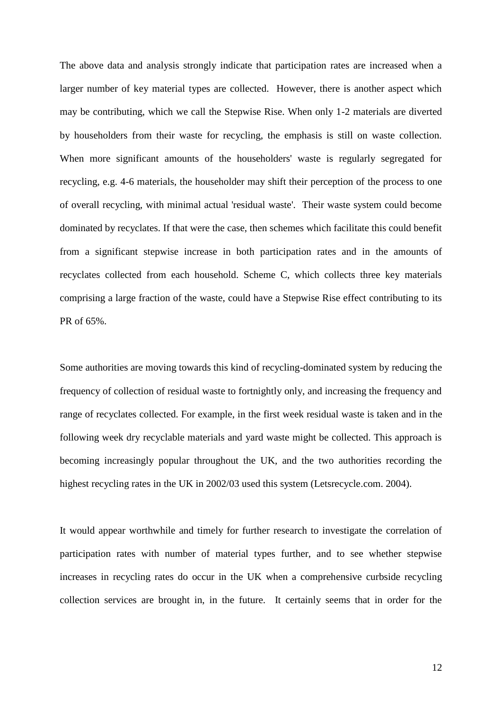The above data and analysis strongly indicate that participation rates are increased when a larger number of key material types are collected. However, there is another aspect which may be contributing, which we call the Stepwise Rise. When only 1-2 materials are diverted by householders from their waste for recycling, the emphasis is still on waste collection. When more significant amounts of the householders' waste is regularly segregated for recycling, e.g. 4-6 materials, the householder may shift their perception of the process to one of overall recycling, with minimal actual 'residual waste'. Their waste system could become dominated by recyclates. If that were the case, then schemes which facilitate this could benefit from a significant stepwise increase in both participation rates and in the amounts of recyclates collected from each household. Scheme C, which collects three key materials comprising a large fraction of the waste, could have a Stepwise Rise effect contributing to its PR of 65%.

Some authorities are moving towards this kind of recycling-dominated system by reducing the frequency of collection of residual waste to fortnightly only, and increasing the frequency and range of recyclates collected. For example, in the first week residual waste is taken and in the following week dry recyclable materials and yard waste might be collected. This approach is becoming increasingly popular throughout the UK, and the two authorities recording the highest recycling rates in the UK in 2002/03 used this system (Letsrecycle.com. 2004).

It would appear worthwhile and timely for further research to investigate the correlation of participation rates with number of material types further, and to see whether stepwise increases in recycling rates do occur in the UK when a comprehensive curbside recycling collection services are brought in, in the future. It certainly seems that in order for the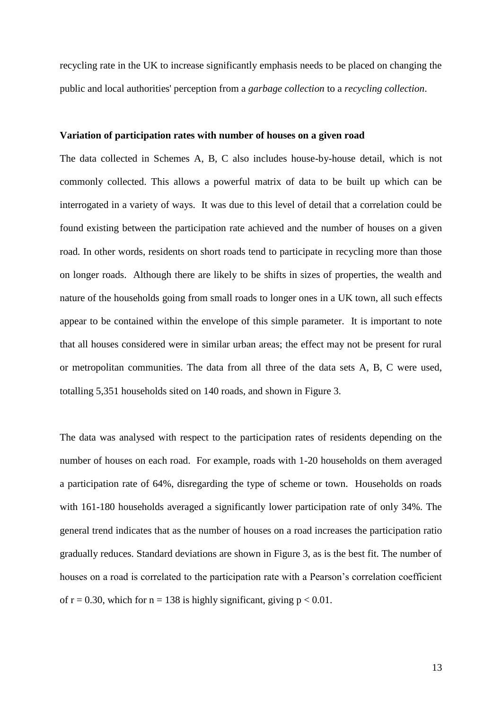recycling rate in the UK to increase significantly emphasis needs to be placed on changing the public and local authorities' perception from a *garbage collection* to a *recycling collection*.

#### **Variation of participation rates with number of houses on a given road**

The data collected in Schemes A, B, C also includes house-by-house detail, which is not commonly collected. This allows a powerful matrix of data to be built up which can be interrogated in a variety of ways. It was due to this level of detail that a correlation could be found existing between the participation rate achieved and the number of houses on a given road. In other words, residents on short roads tend to participate in recycling more than those on longer roads. Although there are likely to be shifts in sizes of properties, the wealth and nature of the households going from small roads to longer ones in a UK town, all such effects appear to be contained within the envelope of this simple parameter. It is important to note that all houses considered were in similar urban areas; the effect may not be present for rural or metropolitan communities. The data from all three of the data sets A, B, C were used, totalling 5,351 households sited on 140 roads, and shown in Figure 3.

The data was analysed with respect to the participation rates of residents depending on the number of houses on each road. For example, roads with 1-20 households on them averaged a participation rate of 64%, disregarding the type of scheme or town. Households on roads with 161-180 households averaged a significantly lower participation rate of only 34%. The general trend indicates that as the number of houses on a road increases the participation ratio gradually reduces. Standard deviations are shown in Figure 3, as is the best fit. The number of houses on a road is correlated to the participation rate with a Pearson's correlation coefficient of  $r = 0.30$ , which for  $n = 138$  is highly significant, giving  $p < 0.01$ .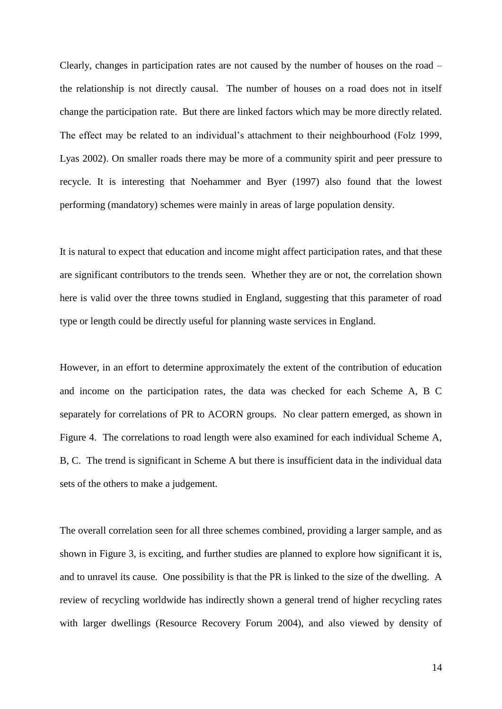Clearly, changes in participation rates are not caused by the number of houses on the road – the relationship is not directly causal. The number of houses on a road does not in itself change the participation rate. But there are linked factors which may be more directly related. The effect may be related to an individual's attachment to their neighbourhood (Folz 1999, Lyas 2002). On smaller roads there may be more of a community spirit and peer pressure to recycle. It is interesting that Noehammer and Byer (1997) also found that the lowest performing (mandatory) schemes were mainly in areas of large population density.

It is natural to expect that education and income might affect participation rates, and that these are significant contributors to the trends seen. Whether they are or not, the correlation shown here is valid over the three towns studied in England, suggesting that this parameter of road type or length could be directly useful for planning waste services in England.

However, in an effort to determine approximately the extent of the contribution of education and income on the participation rates, the data was checked for each Scheme A, B C separately for correlations of PR to ACORN groups. No clear pattern emerged, as shown in Figure 4. The correlations to road length were also examined for each individual Scheme A, B, C. The trend is significant in Scheme A but there is insufficient data in the individual data sets of the others to make a judgement.

The overall correlation seen for all three schemes combined, providing a larger sample, and as shown in Figure 3, is exciting, and further studies are planned to explore how significant it is, and to unravel its cause. One possibility is that the PR is linked to the size of the dwelling. A review of recycling worldwide has indirectly shown a general trend of higher recycling rates with larger dwellings (Resource Recovery Forum 2004), and also viewed by density of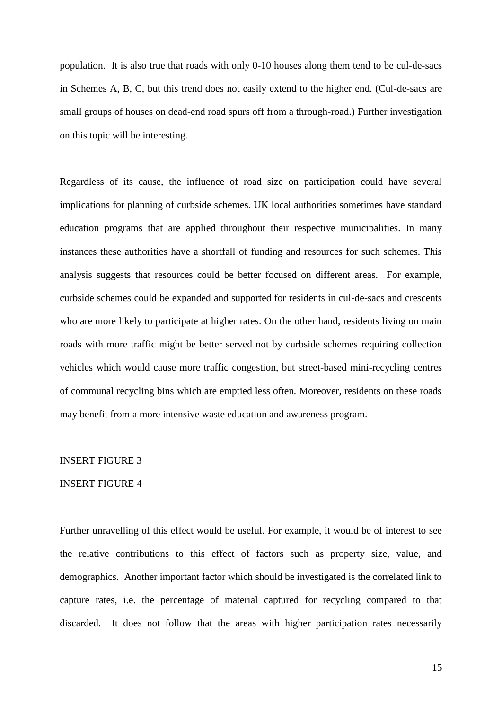population. It is also true that roads with only 0-10 houses along them tend to be cul-de-sacs in Schemes A, B, C, but this trend does not easily extend to the higher end. (Cul-de-sacs are small groups of houses on dead-end road spurs off from a through-road.) Further investigation on this topic will be interesting.

Regardless of its cause, the influence of road size on participation could have several implications for planning of curbside schemes. UK local authorities sometimes have standard education programs that are applied throughout their respective municipalities. In many instances these authorities have a shortfall of funding and resources for such schemes. This analysis suggests that resources could be better focused on different areas. For example, curbside schemes could be expanded and supported for residents in cul-de-sacs and crescents who are more likely to participate at higher rates. On the other hand, residents living on main roads with more traffic might be better served not by curbside schemes requiring collection vehicles which would cause more traffic congestion, but street-based mini-recycling centres of communal recycling bins which are emptied less often. Moreover, residents on these roads may benefit from a more intensive waste education and awareness program.

#### INSERT FIGURE 3

#### INSERT FIGURE 4

Further unravelling of this effect would be useful. For example, it would be of interest to see the relative contributions to this effect of factors such as property size, value, and demographics. Another important factor which should be investigated is the correlated link to capture rates, i.e. the percentage of material captured for recycling compared to that discarded. It does not follow that the areas with higher participation rates necessarily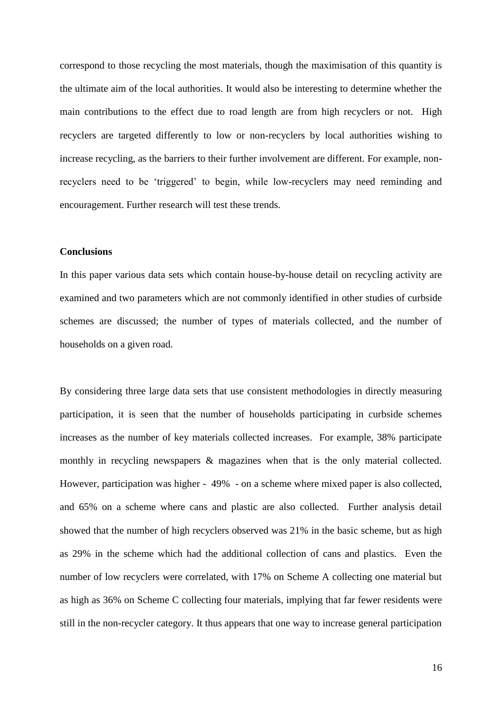correspond to those recycling the most materials, though the maximisation of this quantity is the ultimate aim of the local authorities. It would also be interesting to determine whether the main contributions to the effect due to road length are from high recyclers or not. High recyclers are targeted differently to low or non-recyclers by local authorities wishing to increase recycling, as the barriers to their further involvement are different. For example, nonrecyclers need to be 'triggered' to begin, while low-recyclers may need reminding and encouragement. Further research will test these trends.

#### **Conclusions**

In this paper various data sets which contain house-by-house detail on recycling activity are examined and two parameters which are not commonly identified in other studies of curbside schemes are discussed; the number of types of materials collected, and the number of households on a given road.

By considering three large data sets that use consistent methodologies in directly measuring participation, it is seen that the number of households participating in curbside schemes increases as the number of key materials collected increases. For example, 38% participate monthly in recycling newspapers & magazines when that is the only material collected. However, participation was higher - 49% - on a scheme where mixed paper is also collected, and 65% on a scheme where cans and plastic are also collected. Further analysis detail showed that the number of high recyclers observed was 21% in the basic scheme, but as high as 29% in the scheme which had the additional collection of cans and plastics. Even the number of low recyclers were correlated, with 17% on Scheme A collecting one material but as high as 36% on Scheme C collecting four materials, implying that far fewer residents were still in the non-recycler category. It thus appears that one way to increase general participation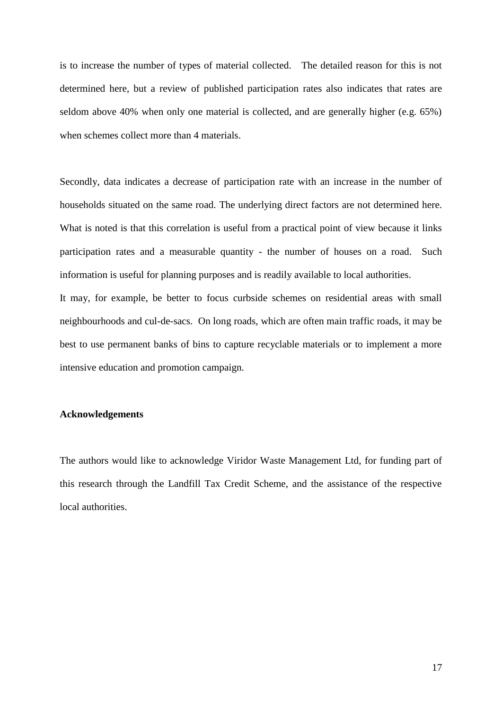is to increase the number of types of material collected. The detailed reason for this is not determined here, but a review of published participation rates also indicates that rates are seldom above 40% when only one material is collected, and are generally higher (e.g. 65%) when schemes collect more than 4 materials.

Secondly, data indicates a decrease of participation rate with an increase in the number of households situated on the same road. The underlying direct factors are not determined here. What is noted is that this correlation is useful from a practical point of view because it links participation rates and a measurable quantity - the number of houses on a road. Such information is useful for planning purposes and is readily available to local authorities.

It may, for example, be better to focus curbside schemes on residential areas with small neighbourhoods and cul-de-sacs. On long roads, which are often main traffic roads, it may be best to use permanent banks of bins to capture recyclable materials or to implement a more intensive education and promotion campaign.

#### **Acknowledgements**

The authors would like to acknowledge Viridor Waste Management Ltd, for funding part of this research through the Landfill Tax Credit Scheme, and the assistance of the respective local authorities.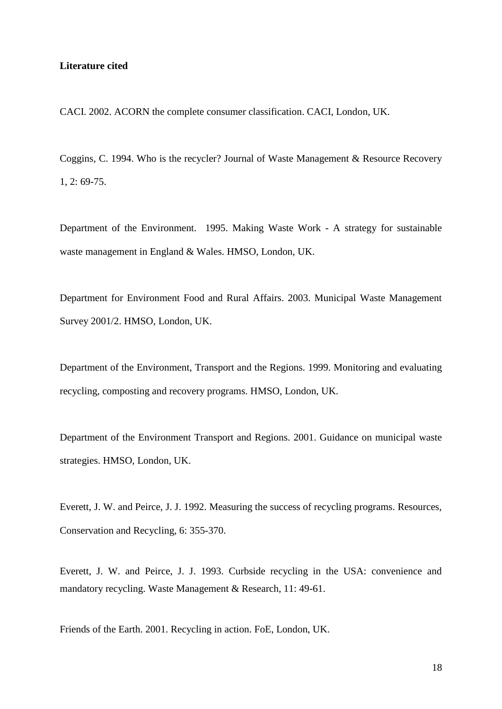#### **Literature cited**

CACI. 2002. ACORN the complete consumer classification. CACI, London, UK.

Coggins, C. 1994. Who is the recycler? Journal of Waste Management & Resource Recovery 1, 2: 69-75.

Department of the Environment. 1995. Making Waste Work - A strategy for sustainable waste management in England & Wales. HMSO, London, UK.

Department for Environment Food and Rural Affairs. 2003. Municipal Waste Management Survey 2001/2. HMSO, London, UK.

Department of the Environment, Transport and the Regions. 1999. Monitoring and evaluating recycling, composting and recovery programs. HMSO, London, UK.

Department of the Environment Transport and Regions. 2001. Guidance on municipal waste strategies. HMSO, London, UK.

Everett, J. W. and Peirce, J. J. 1992. Measuring the success of recycling programs. Resources, Conservation and Recycling, 6: 355-370.

Everett, J. W. and Peirce, J. J. 1993. Curbside recycling in the USA: convenience and mandatory recycling. Waste Management & Research, 11: 49-61.

Friends of the Earth. 2001. Recycling in action. FoE, London, UK.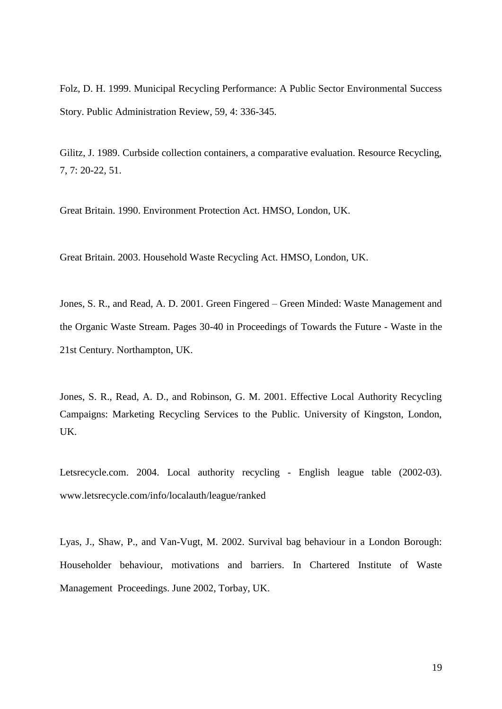Folz, D. H. 1999. Municipal Recycling Performance: A Public Sector Environmental Success Story. Public Administration Review, 59, 4: 336-345.

Gilitz, J. 1989. Curbside collection containers, a comparative evaluation. Resource Recycling, 7, 7: 20-22, 51.

Great Britain. 1990. Environment Protection Act. HMSO, London, UK.

Great Britain. 2003. Household Waste Recycling Act. HMSO, London, UK.

Jones, S. R., and Read, A. D. 2001. Green Fingered – Green Minded: Waste Management and the Organic Waste Stream. Pages 30-40 in Proceedings of Towards the Future - Waste in the 21st Century. Northampton, UK.

Jones, S. R., Read, A. D., and Robinson, G. M. 2001. Effective Local Authority Recycling Campaigns: Marketing Recycling Services to the Public. University of Kingston, London, UK.

Letsrecycle.com. 2004. Local authority recycling - English league table (2002-03). www.letsrecycle.com/info/localauth/league/ranked

Lyas, J., Shaw, P., and Van-Vugt, M. 2002. Survival bag behaviour in a London Borough: Householder behaviour, motivations and barriers. In Chartered Institute of Waste Management Proceedings. June 2002, Torbay, UK.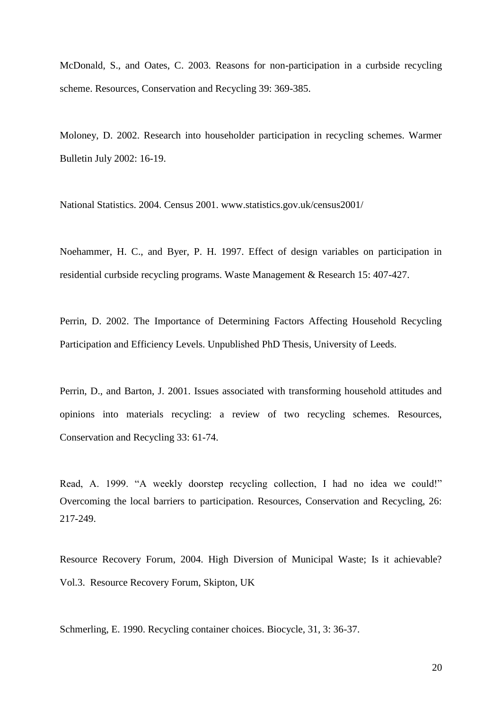McDonald, S., and Oates, C. 2003. Reasons for non-participation in a curbside recycling scheme. Resources, Conservation and Recycling 39: 369-385.

Moloney, D. 2002. Research into householder participation in recycling schemes. Warmer Bulletin July 2002: 16-19.

National Statistics. 2004. Census 2001. www.statistics.gov.uk/census2001/

Noehammer, H. C., and Byer, P. H. 1997. Effect of design variables on participation in residential curbside recycling programs. Waste Management & Research 15: 407-427.

Perrin, D. 2002. The Importance of Determining Factors Affecting Household Recycling Participation and Efficiency Levels. Unpublished PhD Thesis, University of Leeds.

Perrin, D., and Barton, J. 2001. Issues associated with transforming household attitudes and opinions into materials recycling: a review of two recycling schemes. Resources, Conservation and Recycling 33: 61-74.

Read, A. 1999. "A weekly doorstep recycling collection, I had no idea we could!" Overcoming the local barriers to participation. Resources, Conservation and Recycling, 26: 217-249.

Resource Recovery Forum, 2004. High Diversion of Municipal Waste; Is it achievable? Vol.3. Resource Recovery Forum, Skipton, UK

Schmerling, E. 1990. Recycling container choices. Biocycle, 31, 3: 36-37.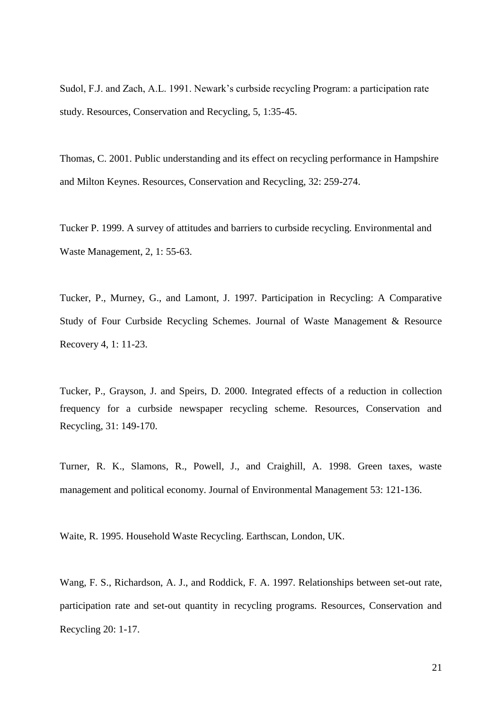Sudol, F.J. and Zach, A.L. 1991. Newark's curbside recycling Program: a participation rate study. Resources, Conservation and Recycling, 5, 1:35-45.

Thomas, C. 2001. Public understanding and its effect on recycling performance in Hampshire and Milton Keynes. Resources, Conservation and Recycling, 32: 259-274.

Tucker P. 1999. A survey of attitudes and barriers to curbside recycling. Environmental and Waste Management, 2, 1: 55-63.

Tucker, P., Murney, G., and Lamont, J. 1997. Participation in Recycling: A Comparative Study of Four Curbside Recycling Schemes. Journal of Waste Management & Resource Recovery 4, 1: 11-23.

Tucker, P., Grayson, J. and Speirs, D. 2000. Integrated effects of a reduction in collection frequency for a curbside newspaper recycling scheme. Resources, Conservation and Recycling, 31: 149-170.

Turner, R. K., Slamons, R., Powell, J., and Craighill, A. 1998. Green taxes, waste management and political economy. Journal of Environmental Management 53: 121-136.

Waite, R. 1995. Household Waste Recycling. Earthscan, London, UK.

Wang, F. S., Richardson, A. J., and Roddick, F. A. 1997. Relationships between set-out rate, participation rate and set-out quantity in recycling programs. Resources, Conservation and Recycling 20: 1-17.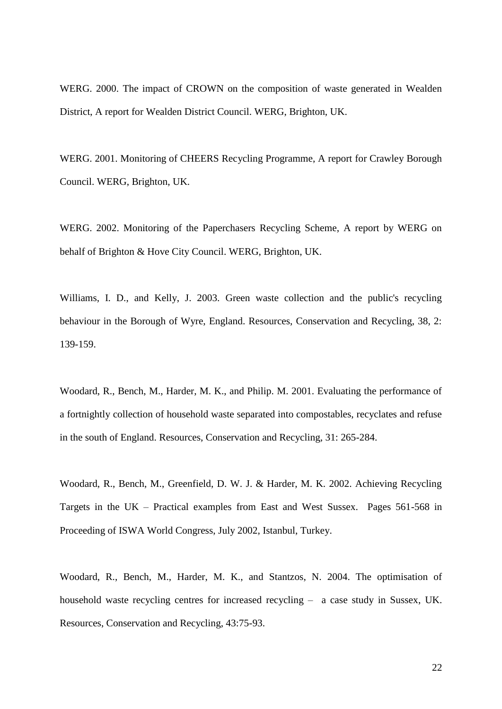WERG. 2000. The impact of CROWN on the composition of waste generated in Wealden District, A report for Wealden District Council. WERG, Brighton, UK.

WERG. 2001. Monitoring of CHEERS Recycling Programme, A report for Crawley Borough Council. WERG, Brighton, UK.

WERG. 2002. Monitoring of the Paperchasers Recycling Scheme, A report by WERG on behalf of Brighton & Hove City Council. WERG, Brighton, UK.

Williams, I. D., and Kelly, J. 2003. Green waste collection and the public's recycling behaviour in the Borough of Wyre, England. Resources, Conservation and Recycling, 38, 2: 139-159.

Woodard, R., Bench, M., Harder, M. K., and Philip. M. 2001. Evaluating the performance of a fortnightly collection of household waste separated into compostables, recyclates and refuse in the south of England. Resources, Conservation and Recycling, 31: 265-284.

Woodard, R., Bench, M., Greenfield, D. W. J. & Harder, M. K. 2002. Achieving Recycling Targets in the UK – Practical examples from East and West Sussex. Pages 561-568 in Proceeding of ISWA World Congress, July 2002, Istanbul, Turkey.

Woodard, R., Bench, M., Harder, M. K., and Stantzos, N. 2004. The optimisation of household waste recycling centres for increased recycling – a case study in Sussex, UK. Resources, Conservation and Recycling, 43:75-93.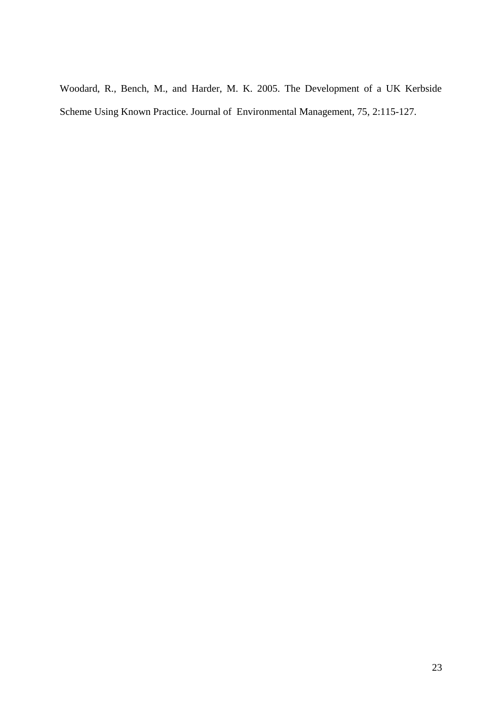Woodard, R., Bench, M., and Harder, M. K. 2005. The Development of a UK Kerbside Scheme Using Known Practice. Journal of Environmental Management, 75, 2:115-127.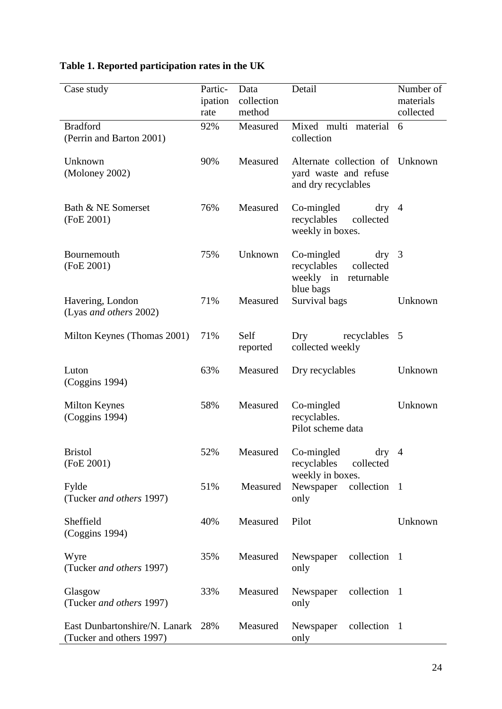# **Table 1. Reported participation rates in the UK**

| Case study                                                    | Partic-<br>ipation<br>rate | Data<br>collection<br>method | Detail                                                                                | Number of<br>materials<br>collected |
|---------------------------------------------------------------|----------------------------|------------------------------|---------------------------------------------------------------------------------------|-------------------------------------|
| <b>Bradford</b><br>(Perrin and Barton 2001)                   | 92%                        | Measured                     | Mixed multi<br>material<br>collection                                                 | 6                                   |
| Unknown<br>(Moloney 2002)                                     | 90%                        | Measured                     | Alternate collection of<br>yard waste and refuse<br>and dry recyclables               | Unknown                             |
| Bath & NE Somerset<br>(FoE 2001)                              | 76%                        | Measured                     | Co-mingled<br>$\frac{dry}{4}$<br>recyclables<br>collected<br>weekly in boxes.         |                                     |
| Bournemouth<br>(FoE 2001)                                     | 75%                        | Unknown                      | Co-mingled<br>dry<br>collected<br>recyclables<br>weekly in<br>returnable<br>blue bags | 3                                   |
| Havering, London<br>(Lyas and others 2002)                    | 71%                        | Measured                     | Survival bags                                                                         | Unknown                             |
| Milton Keynes (Thomas 2001)                                   | 71%                        | Self<br>reported             | Dry<br>recyclables<br>collected weekly                                                | 5                                   |
| Luton<br>(Coggins 1994)                                       | 63%                        | Measured                     | Dry recyclables                                                                       | Unknown                             |
| <b>Milton Keynes</b><br>(Coggins 1994)                        | 58%                        | Measured                     | Co-mingled<br>recyclables.<br>Pilot scheme data                                       | Unknown                             |
| <b>Bristol</b><br>(FoE 2001)                                  | 52%                        | Measured                     | Co-mingled<br>dry<br>recyclables<br>collected<br>weekly in boxes.                     | $\overline{4}$                      |
| Fylde<br>(Tucker and others 1997)                             | 51%                        | Measured                     | Newspaper<br>collection 1<br>only                                                     |                                     |
| Sheffield<br>(Coggins 1994)                                   | 40%                        | Measured                     | Pilot                                                                                 | Unknown                             |
| Wyre<br>(Tucker and others 1997)                              | 35%                        | Measured                     | collection 1<br>Newspaper<br>only                                                     |                                     |
| Glasgow<br>(Tucker and others 1997)                           | 33%                        | Measured                     | collection 1<br>Newspaper<br>only                                                     |                                     |
| East Dunbartonshire/N. Lanark 28%<br>(Tucker and others 1997) |                            | Measured                     | collection 1<br>Newspaper<br>only                                                     |                                     |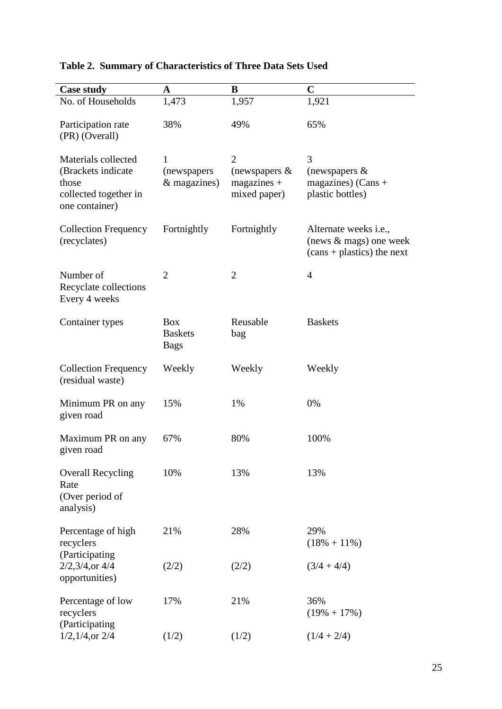| <b>Case study</b>                                                                             | $\mathbf A$                                 | B                                                                   | $\mathbf C$                                                                                |
|-----------------------------------------------------------------------------------------------|---------------------------------------------|---------------------------------------------------------------------|--------------------------------------------------------------------------------------------|
| No. of Households                                                                             | 1,473                                       | 1,957                                                               | 1,921                                                                                      |
| Participation rate<br>(PR) (Overall)                                                          | 38%                                         | 49%                                                                 | 65%                                                                                        |
| Materials collected<br>(Brackets indicate<br>those<br>collected together in<br>one container) | 1<br>(newspapers)<br>& magazines)           | $\overline{2}$<br>(newspapers $\&$<br>$magazines +$<br>mixed paper) | 3<br>(newspapers $\&$<br>magazines) (Cans $+$<br>plastic bottles)                          |
| <b>Collection Frequency</b><br>(recyclates)                                                   | Fortnightly                                 | Fortnightly                                                         | Alternate weeks <i>i.e.</i> ,<br>(news $\&$ mags) one week<br>$(cans + plastics)$ the next |
| Number of<br>Recyclate collections<br>Every 4 weeks                                           | $\overline{2}$                              | $\overline{2}$                                                      | $\overline{4}$                                                                             |
| Container types                                                                               | <b>Box</b><br><b>Baskets</b><br><b>Bags</b> | Reusable<br>bag                                                     | <b>Baskets</b>                                                                             |
| <b>Collection Frequency</b><br>(residual waste)                                               | Weekly                                      | Weekly                                                              | Weekly                                                                                     |
| Minimum PR on any<br>given road                                                               | 15%                                         | 1%                                                                  | 0%                                                                                         |
| Maximum PR on any<br>given road                                                               | 67%                                         | 80%                                                                 | 100%                                                                                       |
| <b>Overall Recycling</b><br>Rate<br>(Over period of<br>analysis)                              | 10%                                         | 13%                                                                 | 13%                                                                                        |
| Percentage of high<br>recyclers                                                               | 21%                                         | 28%                                                                 | 29%<br>$(18\% + 11\%)$                                                                     |
| (Participating<br>$2/2,3/4,$ or 4/4<br>opportunities)                                         | (2/2)                                       | (2/2)                                                               | $(3/4 + 4/4)$                                                                              |
| Percentage of low<br>recyclers<br>(Participating                                              | 17%                                         | 21%                                                                 | 36%<br>$(19\% + 17\%)$                                                                     |
| $1/2$ , $1/4$ , or $2/4$                                                                      | (1/2)                                       | (1/2)                                                               | $(1/4 + 2/4)$                                                                              |

# **Table 2. Summary of Characteristics of Three Data Sets Used**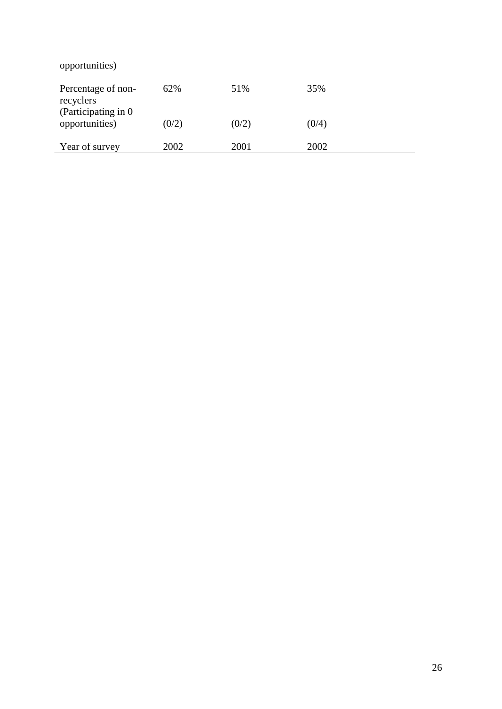| opportunities)                                          |       |       |       |
|---------------------------------------------------------|-------|-------|-------|
| Percentage of non-<br>recyclers<br>(Participating in 0) | 62%   | 51%   | 35%   |
| opportunities)                                          | (0/2) | (0/2) | (0/4) |
| Year of survey                                          | 2002  | 2001  | 2002  |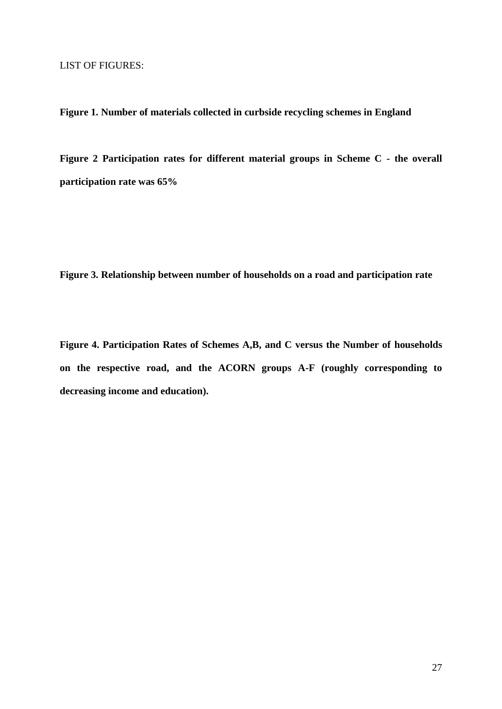**Figure 1. Number of materials collected in curbside recycling schemes in England**

**Figure 2 Participation rates for different material groups in Scheme C - the overall participation rate was 65%** 

**Figure 3. Relationship between number of households on a road and participation rate**

**Figure 4. Participation Rates of Schemes A,B, and C versus the Number of households on the respective road, and the ACORN groups A-F (roughly corresponding to decreasing income and education).**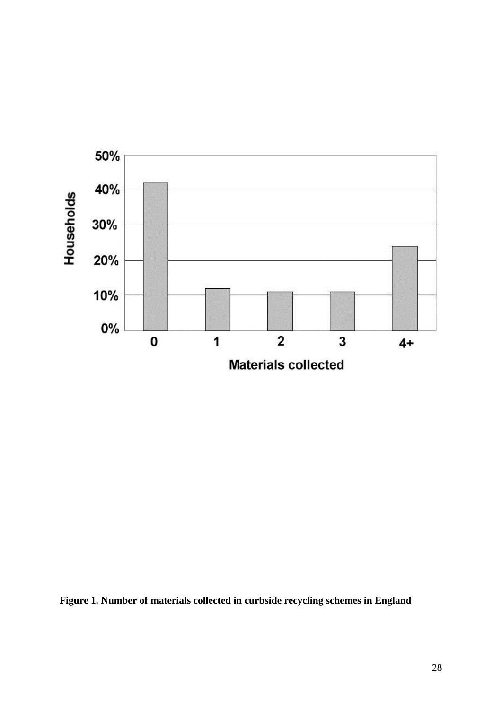

**Figure 1. Number of materials collected in curbside recycling schemes in England**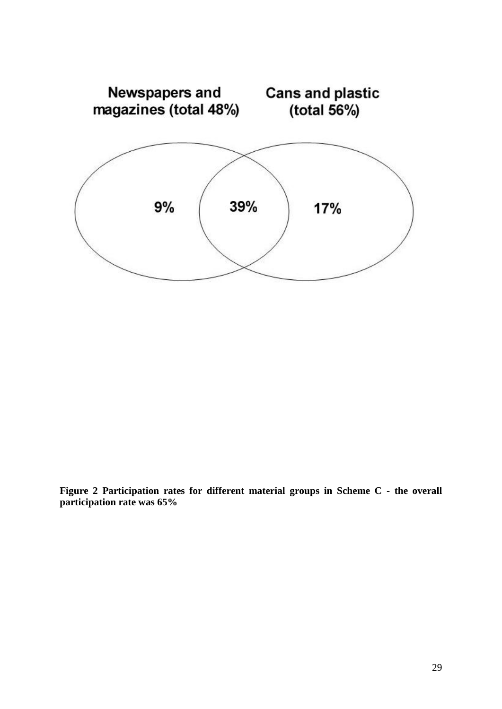

**Figure 2 Participation rates for different material groups in Scheme C - the overall participation rate was 65%**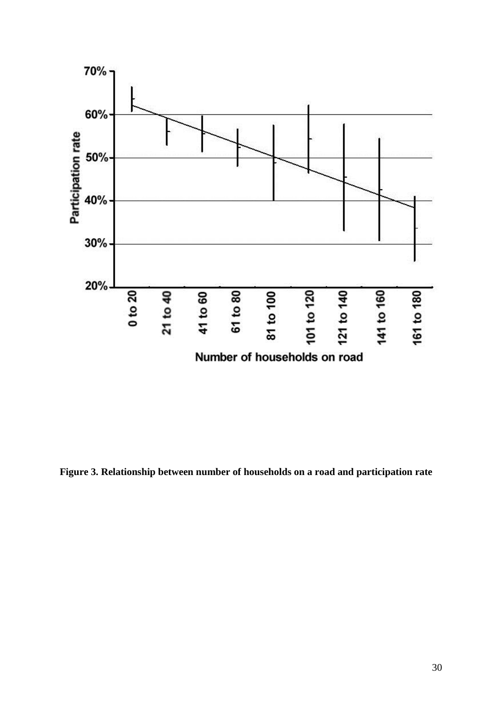

**Figure 3. Relationship between number of households on a road and participation rate**